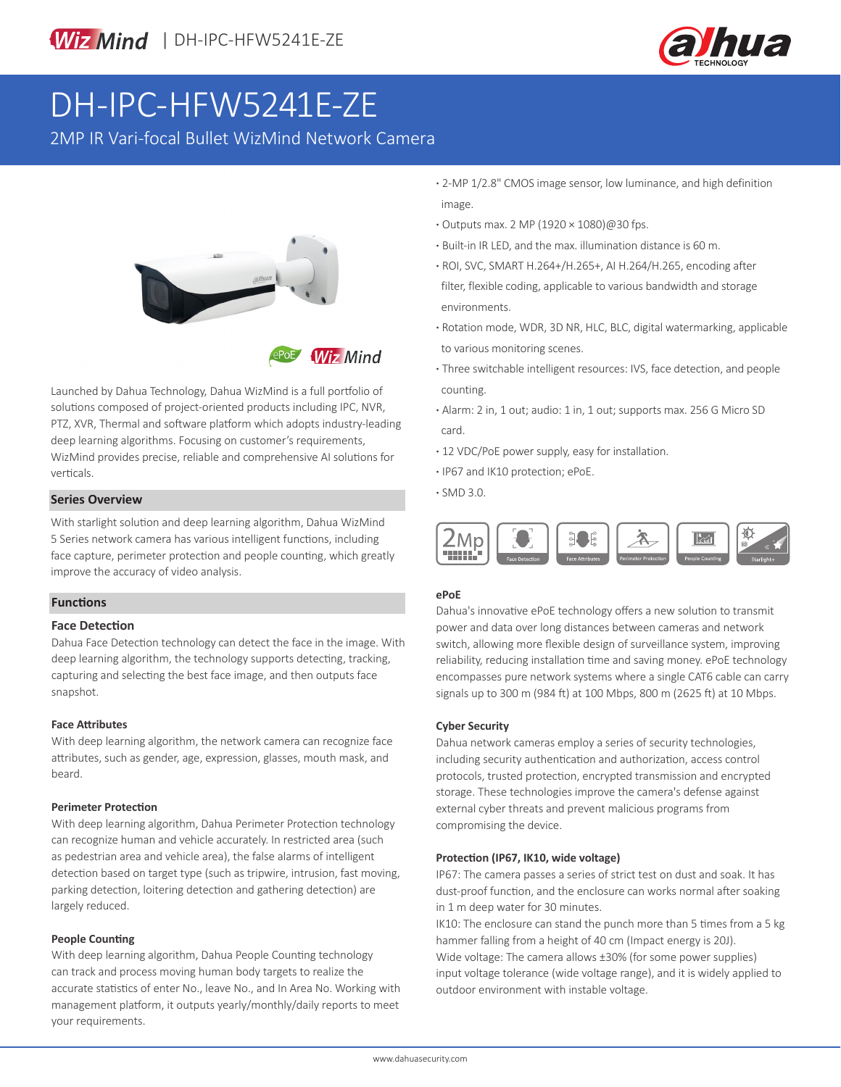



# DH-IPC-HFW5241E-ZE

2MP IR Vari-focal Bullet WizMind Network Camera



Launched by Dahua Technology, Dahua WizMind is a full portfolio of solutions composed of project-oriented products including IPC, NVR, PTZ, XVR, Thermal and software platform which adopts industry-leading deep learning algorithms. Focusing on customer's requirements, WizMind provides precise, reliable and comprehensive AI solutions for verticals.

## **· SMD 3.0. Series Overview**

With starlight solution and deep learning algorithm, Dahua WizMind 5 Series network camera has various intelligent functions, including face capture, perimeter protection and people counting, which greatly improve the accuracy of video analysis.

#### **Functions**

#### **Face Detection**

Dahua Face Detection technology can detect the face in the image. With deep learning algorithm, the technology supports detecting, tracking, capturing and selecting the best face image, and then outputs face snapshot.

#### **Face Attributes**

With deep learning algorithm, the network camera can recognize face attributes, such as gender, age, expression, glasses, mouth mask, and beard.

#### **Perimeter Protection**

With deep learning algorithm, Dahua Perimeter Protection technology can recognize human and vehicle accurately. In restricted area (such as pedestrian area and vehicle area), the false alarms of intelligent detection based on target type (such as tripwire, intrusion, fast moving, parking detection, loitering detection and gathering detection) are largely reduced.

#### **People Counting**

With deep learning algorithm, Dahua People Counting technology can track and process moving human body targets to realize the accurate statistics of enter No., leave No., and In Area No. Working with management platform, it outputs yearly/monthly/daily reports to meet your requirements.

- **·** 2-MP 1/2.8" CMOS image sensor, low luminance, and high definition image.
- **·** Outputs max. 2 MP (1920 × 1080)@30 fps.
- **·** Built-in IR LED, and the max. illumination distance is 60 m.
- **·** ROI, SVC, SMART H.264+/H.265+, AI H.264/H.265, encoding after filter, flexible coding, applicable to various bandwidth and storage environments.
- **·** Rotation mode, WDR, 3D NR, HLC, BLC, digital watermarking, applicable to various monitoring scenes.
- **·** Three switchable intelligent resources: IVS, face detection, and people counting.
- **·** Alarm: 2 in, 1 out; audio: 1 in, 1 out; supports max. 256 G Micro SD card.
- **·** 12 VDC/PoE power supply, easy for installation.
- **·** IP67 and IK10 protection; ePoE.
- 



#### **ePoE**

Dahua's innovative ePoE technology offers a new solution to transmit power and data over long distances between cameras and network switch, allowing more flexible design of surveillance system, improving reliability, reducing installation time and saving money. ePoE technology encompasses pure network systems where a single CAT6 cable can carry signals up to 300 m (984 ft) at 100 Mbps, 800 m (2625 ft) at 10 Mbps.

#### **Cyber Security**

Dahua network cameras employ a series of security technologies, including security authentication and authorization, access control protocols, trusted protection, encrypted transmission and encrypted storage. These technologies improve the camera's defense against external cyber threats and prevent malicious programs from compromising the device.

#### **Protection (IP67, IK10, wide voltage)**

IP67: The camera passes a series of strict test on dust and soak. It has dust-proof function, and the enclosure can works normal after soaking in 1 m deep water for 30 minutes.

IK10: The enclosure can stand the punch more than 5 times from a 5 kg hammer falling from a height of 40 cm (Impact energy is 20J). Wide voltage: The camera allows ±30% (for some power supplies) input voltage tolerance (wide voltage range), and it is widely applied to outdoor environment with instable voltage.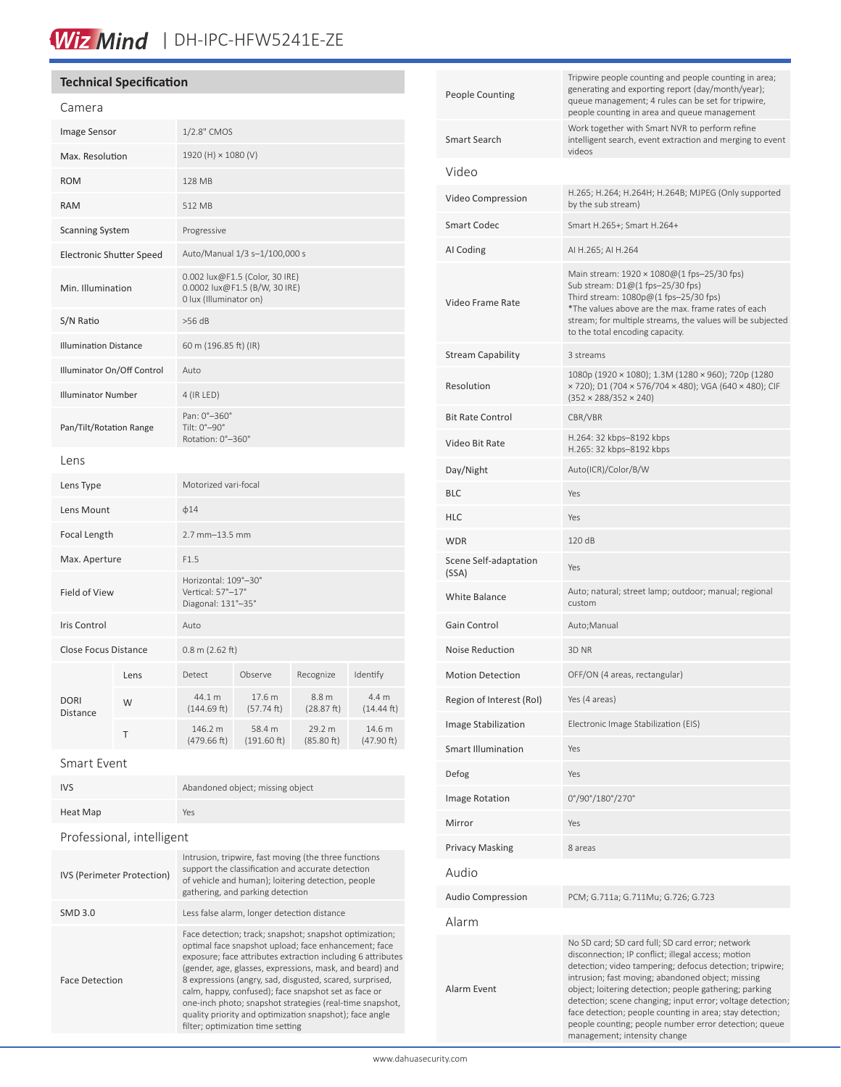# Wiz Mind | DH-IPC-HFW5241E-ZE

### **Technical Specification**

| Camera                          |      |                                                                                           |                       |                                |                      |
|---------------------------------|------|-------------------------------------------------------------------------------------------|-----------------------|--------------------------------|----------------------|
| Image Sensor                    |      | 1/2.8" CMOS                                                                               |                       |                                |                      |
| Max. Resolution                 |      | 1920 (H) × 1080 (V)                                                                       |                       |                                |                      |
| <b>ROM</b>                      |      | <b>128 MB</b>                                                                             |                       |                                |                      |
| <b>RAM</b>                      |      | 512 MB                                                                                    |                       |                                |                      |
| <b>Scanning System</b>          |      | Progressive                                                                               |                       |                                |                      |
| <b>Electronic Shutter Speed</b> |      | Auto/Manual 1/3 s-1/100,000 s                                                             |                       |                                |                      |
| Min. Illumination               |      | 0.002 lux@F1.5 (Color, 30 IRE)<br>0.0002 lux@F1.5 (B/W, 30 IRE)<br>0 lux (Illuminator on) |                       |                                |                      |
| S/N Ratio                       |      | $>56$ dB                                                                                  |                       |                                |                      |
| <b>Illumination Distance</b>    |      | 60 m (196.85 ft) (IR)                                                                     |                       |                                |                      |
| Illuminator On/Off Control      |      | Auto                                                                                      |                       |                                |                      |
| <b>Illuminator Number</b>       |      | 4 (IR LED)                                                                                |                       |                                |                      |
| Pan/Tilt/Rotation Range         |      | Pan: 0°-360°<br>Tilt: 0°-90°<br>Rotation: 0°-360°                                         |                       |                                |                      |
| l ens                           |      |                                                                                           |                       |                                |                      |
| Lens Type                       |      | Motorized vari-focal                                                                      |                       |                                |                      |
| Lens Mount                      |      | $\phi$ 14                                                                                 |                       |                                |                      |
| Focal Length                    |      | $2.7$ mm $-13.5$ mm                                                                       |                       |                                |                      |
| Max. Aperture                   |      | F1.5                                                                                      |                       |                                |                      |
| <b>Field of View</b>            |      | Horizontal: 109°-30°<br>Vertical: 57°-17°<br>Diagonal: 131°-35°                           |                       |                                |                      |
| <b>Iris Control</b>             |      | Auto                                                                                      |                       |                                |                      |
| <b>Close Focus Distance</b>     |      | $0.8$ m (2.62 ft)                                                                         |                       |                                |                      |
|                                 | Lens | Detect                                                                                    | Observe               | Recognize                      | Identify             |
| <b>DORI</b><br>Distance         | W    | 44.1 m<br>(144.69 ft)                                                                     | 17.6 m<br>(57.74 ft)  | 8.8 <sub>m</sub><br>(28.87 ft) | 4.4 m<br>(14.44 ft)  |
|                                 | Τ    | 146.2 m<br>(479.66 ft)                                                                    | 58.4 m<br>(191.60 ft) | 29.2 m<br>(85.80 ft)           | 14.6 m<br>(47.90 ft) |
|                                 |      |                                                                                           |                       |                                |                      |

#### Smart Event

| <b>IVS</b>                 | Abandoned object; missing object                                                                                                                                                                                                                                                                                                                                                                                                                                                                                           |  |  |  |
|----------------------------|----------------------------------------------------------------------------------------------------------------------------------------------------------------------------------------------------------------------------------------------------------------------------------------------------------------------------------------------------------------------------------------------------------------------------------------------------------------------------------------------------------------------------|--|--|--|
| Heat Map                   | Yes                                                                                                                                                                                                                                                                                                                                                                                                                                                                                                                        |  |  |  |
| Professional, intelligent  |                                                                                                                                                                                                                                                                                                                                                                                                                                                                                                                            |  |  |  |
| IVS (Perimeter Protection) | Intrusion, tripwire, fast moving (the three functions<br>support the classification and accurate detection<br>of vehicle and human); loitering detection, people<br>gathering, and parking detection                                                                                                                                                                                                                                                                                                                       |  |  |  |
| <b>SMD 3.0</b>             | Less false alarm, longer detection distance                                                                                                                                                                                                                                                                                                                                                                                                                                                                                |  |  |  |
| <b>Face Detection</b>      | Face detection; track; snapshot; snapshot optimization;<br>optimal face snapshot upload; face enhancement; face<br>exposure; face attributes extraction including 6 attributes<br>(gender, age, glasses, expressions, mask, and beard) and<br>8 expressions (angry, sad, disgusted, scared, surprised,<br>calm, happy, confused); face snapshot set as face or<br>one-inch photo; snapshot strategies (real-time snapshot,<br>quality priority and optimization snapshot); face angle<br>filter; optimization time setting |  |  |  |
|                            |                                                                                                                                                                                                                                                                                                                                                                                                                                                                                                                            |  |  |  |

| <b>People Counting</b>         | Tripwire people counting and people counting in area;<br>generating and exporting report (day/month/year);<br>queue management; 4 rules can be set for tripwire,<br>people counting in area and queue management                                                                                                                                                                                                                                                                                     |  |  |
|--------------------------------|------------------------------------------------------------------------------------------------------------------------------------------------------------------------------------------------------------------------------------------------------------------------------------------------------------------------------------------------------------------------------------------------------------------------------------------------------------------------------------------------------|--|--|
| Smart Search                   | Work together with Smart NVR to perform refine<br>intelligent search, event extraction and merging to event<br>videos                                                                                                                                                                                                                                                                                                                                                                                |  |  |
| Video                          |                                                                                                                                                                                                                                                                                                                                                                                                                                                                                                      |  |  |
| Video Compression              | H.265; H.264; H.264H; H.264B; MJPEG (Only supported<br>by the sub stream)                                                                                                                                                                                                                                                                                                                                                                                                                            |  |  |
| Smart Codec                    | Smart H.265+; Smart H.264+                                                                                                                                                                                                                                                                                                                                                                                                                                                                           |  |  |
| AI Coding                      | AI H.265; AI H.264                                                                                                                                                                                                                                                                                                                                                                                                                                                                                   |  |  |
| Video Frame Rate               | Main stream: $1920 \times 1080@(1 \text{ fs} - 25/30 \text{ fs})$<br>Sub stream: D1@(1 fps-25/30 fps)<br>Third stream: 1080p@(1 fps-25/30 fps)<br>*The values above are the max. frame rates of each<br>stream; for multiple streams, the values will be subjected<br>to the total encoding capacity.                                                                                                                                                                                                |  |  |
| <b>Stream Capability</b>       | 3 streams                                                                                                                                                                                                                                                                                                                                                                                                                                                                                            |  |  |
| Resolution                     | 1080p (1920 × 1080); 1.3M (1280 × 960); 720p (1280<br>× 720); D1 (704 × 576/704 × 480); VGA (640 × 480); CIF<br>$(352 \times 288/352 \times 240)$                                                                                                                                                                                                                                                                                                                                                    |  |  |
| <b>Bit Rate Control</b>        | CBR/VBR                                                                                                                                                                                                                                                                                                                                                                                                                                                                                              |  |  |
| Video Bit Rate                 | H.264: 32 kbps-8192 kbps<br>H.265: 32 kbps-8192 kbps                                                                                                                                                                                                                                                                                                                                                                                                                                                 |  |  |
| Day/Night                      | Auto(ICR)/Color/B/W                                                                                                                                                                                                                                                                                                                                                                                                                                                                                  |  |  |
| <b>BLC</b>                     | Yes                                                                                                                                                                                                                                                                                                                                                                                                                                                                                                  |  |  |
| HLC                            | Yes                                                                                                                                                                                                                                                                                                                                                                                                                                                                                                  |  |  |
| <b>WDR</b>                     | 120 dB                                                                                                                                                                                                                                                                                                                                                                                                                                                                                               |  |  |
| Scene Self-adaptation<br>(SSA) | Yes                                                                                                                                                                                                                                                                                                                                                                                                                                                                                                  |  |  |
| <b>White Balance</b>           | Auto; natural; street lamp; outdoor; manual; regional<br>custom                                                                                                                                                                                                                                                                                                                                                                                                                                      |  |  |
| Gain Control                   | Auto;Manual                                                                                                                                                                                                                                                                                                                                                                                                                                                                                          |  |  |
| <b>Noise Reduction</b>         | 3D NR                                                                                                                                                                                                                                                                                                                                                                                                                                                                                                |  |  |
| <b>Motion Detection</b>        | OFF/ON (4 areas, rectangular)                                                                                                                                                                                                                                                                                                                                                                                                                                                                        |  |  |
| Region of Interest (RoI)       | Yes (4 areas)                                                                                                                                                                                                                                                                                                                                                                                                                                                                                        |  |  |
| Image Stabilization            | Electronic Image Stabilization (EIS)                                                                                                                                                                                                                                                                                                                                                                                                                                                                 |  |  |
| <b>Smart Illumination</b>      | Yes                                                                                                                                                                                                                                                                                                                                                                                                                                                                                                  |  |  |
| Defog                          | Yes                                                                                                                                                                                                                                                                                                                                                                                                                                                                                                  |  |  |
| <b>Image Rotation</b>          | 0°/90°/180°/270°                                                                                                                                                                                                                                                                                                                                                                                                                                                                                     |  |  |
| Mirror                         | Yes                                                                                                                                                                                                                                                                                                                                                                                                                                                                                                  |  |  |
| <b>Privacy Masking</b>         | 8 areas                                                                                                                                                                                                                                                                                                                                                                                                                                                                                              |  |  |
| Audio                          |                                                                                                                                                                                                                                                                                                                                                                                                                                                                                                      |  |  |
| <b>Audio Compression</b>       | PCM; G.711a; G.711Mu; G.726; G.723                                                                                                                                                                                                                                                                                                                                                                                                                                                                   |  |  |
| Alarm                          |                                                                                                                                                                                                                                                                                                                                                                                                                                                                                                      |  |  |
| Alarm Event                    | No SD card; SD card full; SD card error; network<br>disconnection; IP conflict; illegal access; motion<br>detection; video tampering; defocus detection; tripwire;<br>intrusion; fast moving; abandoned object; missing<br>object; loitering detection; people gathering; parking<br>detection; scene changing; input error; voltage detection;<br>face detection; people counting in area; stay detection;<br>people counting; people number error detection; queue<br>management; intensity change |  |  |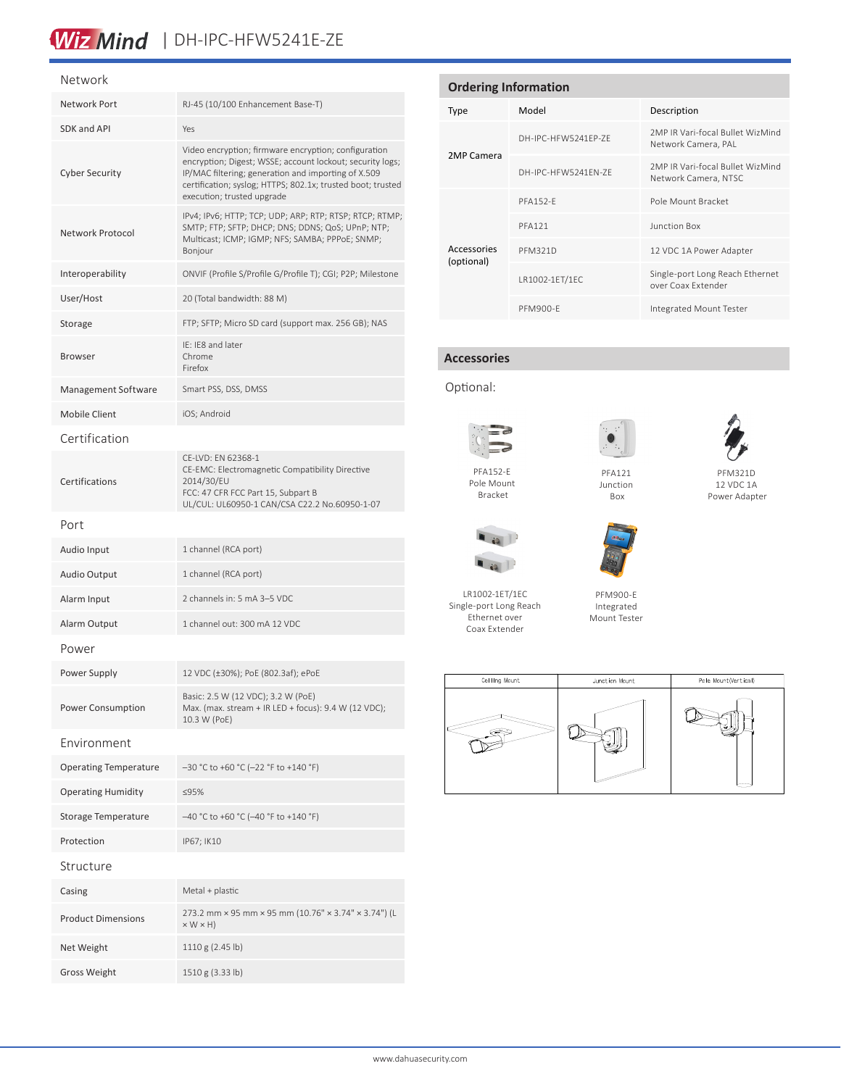# Wiz Mind | DH-IPC-HFW5241E-ZE

#### Network

| Network Port                 | RJ-45 (10/100 Enhancement Base-T)                                                                                                                                                                                                                                     |  |  |  |
|------------------------------|-----------------------------------------------------------------------------------------------------------------------------------------------------------------------------------------------------------------------------------------------------------------------|--|--|--|
| SDK and API                  | Yes                                                                                                                                                                                                                                                                   |  |  |  |
| <b>Cyber Security</b>        | Video encryption; firmware encryption; configuration<br>encryption; Digest; WSSE; account lockout; security logs;<br>IP/MAC filtering; generation and importing of X.509<br>certification; syslog; HTTPS; 802.1x; trusted boot; trusted<br>execution; trusted upgrade |  |  |  |
| Network Protocol             | IPv4; IPv6; HTTP; TCP; UDP; ARP; RTP; RTSP; RTCP; RTMP;<br>SMTP; FTP; SFTP; DHCP; DNS; DDNS; QoS; UPnP; NTP;<br>Multicast; ICMP; IGMP; NFS; SAMBA; PPPoE; SNMP;<br>Bonjour                                                                                            |  |  |  |
| Interoperability             | ONVIF (Profile S/Profile G/Profile T); CGI; P2P; Milestone                                                                                                                                                                                                            |  |  |  |
| User/Host                    | 20 (Total bandwidth: 88 M)                                                                                                                                                                                                                                            |  |  |  |
| Storage                      | FTP; SFTP; Micro SD card (support max. 256 GB); NAS                                                                                                                                                                                                                   |  |  |  |
| <b>Browser</b>               | IE: IE8 and later<br>Chrome<br>Firefox                                                                                                                                                                                                                                |  |  |  |
| Management Software          | Smart PSS, DSS, DMSS                                                                                                                                                                                                                                                  |  |  |  |
| <b>Mobile Client</b>         | iOS; Android                                                                                                                                                                                                                                                          |  |  |  |
| Certification                |                                                                                                                                                                                                                                                                       |  |  |  |
| Certifications               | CE-LVD: EN 62368-1<br>CE-EMC: Electromagnetic Compatibility Directive<br>2014/30/EU<br>FCC: 47 CFR FCC Part 15, Subpart B<br>UL/CUL: UL60950-1 CAN/CSA C22.2 No.60950-1-07                                                                                            |  |  |  |
| Port                         |                                                                                                                                                                                                                                                                       |  |  |  |
| Audio Input                  | 1 channel (RCA port)                                                                                                                                                                                                                                                  |  |  |  |
| <b>Audio Output</b>          | 1 channel (RCA port)                                                                                                                                                                                                                                                  |  |  |  |
| Alarm Input                  | 2 channels in: 5 mA 3-5 VDC                                                                                                                                                                                                                                           |  |  |  |
| Alarm Output                 | 1 channel out: 300 mA 12 VDC                                                                                                                                                                                                                                          |  |  |  |
| Power                        |                                                                                                                                                                                                                                                                       |  |  |  |
| Power Supply                 | 12 VDC (±30%); PoE (802.3af); ePoE                                                                                                                                                                                                                                    |  |  |  |
| Power Consumption            | Basic: 2.5 W (12 VDC); 3.2 W (PoE)<br>Max. (max. stream + IR LED + focus): 9.4 W (12 VDC);<br>10.3 W (PoE)                                                                                                                                                            |  |  |  |
| Environment                  |                                                                                                                                                                                                                                                                       |  |  |  |
| <b>Operating Temperature</b> | -30 °C to +60 °C (-22 °F to +140 °F)                                                                                                                                                                                                                                  |  |  |  |
| <b>Operating Humidity</b>    | ≤95%                                                                                                                                                                                                                                                                  |  |  |  |
| Storage Temperature          | -40 °C to +60 °C (-40 °F to +140 °F)                                                                                                                                                                                                                                  |  |  |  |
| Protection                   | IP67; IK10                                                                                                                                                                                                                                                            |  |  |  |
| Structure                    |                                                                                                                                                                                                                                                                       |  |  |  |
| Casing                       | Metal + plastic                                                                                                                                                                                                                                                       |  |  |  |
| <b>Product Dimensions</b>    | 273.2 mm × 95 mm × 95 mm (10.76" × 3.74" × 3.74") (L<br>$\times$ W $\times$ H)                                                                                                                                                                                        |  |  |  |
| Net Weight                   | 1110 g (2.45 lb)                                                                                                                                                                                                                                                      |  |  |  |
| <b>Gross Weight</b>          | 1510 g (3.33 lb)                                                                                                                                                                                                                                                      |  |  |  |

| <b>Ordering Information</b> |                     |                                                          |  |  |
|-----------------------------|---------------------|----------------------------------------------------------|--|--|
| <b>Type</b>                 | Model               | Description                                              |  |  |
|                             | DH-IPC-HFW5241FP-7F | 2MP IR Vari-focal Bullet WizMind<br>Network Camera, PAL  |  |  |
| 2MP Camera                  | DH-IPC-HFW5241FN-7F | 2MP IR Vari-focal Bullet WizMind<br>Network Camera, NTSC |  |  |
|                             | <b>PFA152-F</b>     | Pole Mount Bracket                                       |  |  |
|                             | <b>PFA121</b>       | Junction Box                                             |  |  |
| Accessories<br>(optional)   | <b>PFM321D</b>      | 12 VDC 1A Power Adapter                                  |  |  |
|                             | LR1002-1ET/1EC      | Single-port Long Reach Ethernet<br>over Coax Extender    |  |  |
|                             | PFM900-F            | Integrated Mount Tester                                  |  |  |

### **Accessories**

Optional:





PFM321D

Pole Mount Bracket



LR1002-1ET/1EC Single-port Long Reach Ethernet over Coax Extender





12 VDC 1A Power Adapter



PFM900-E Integrated Mount Tester